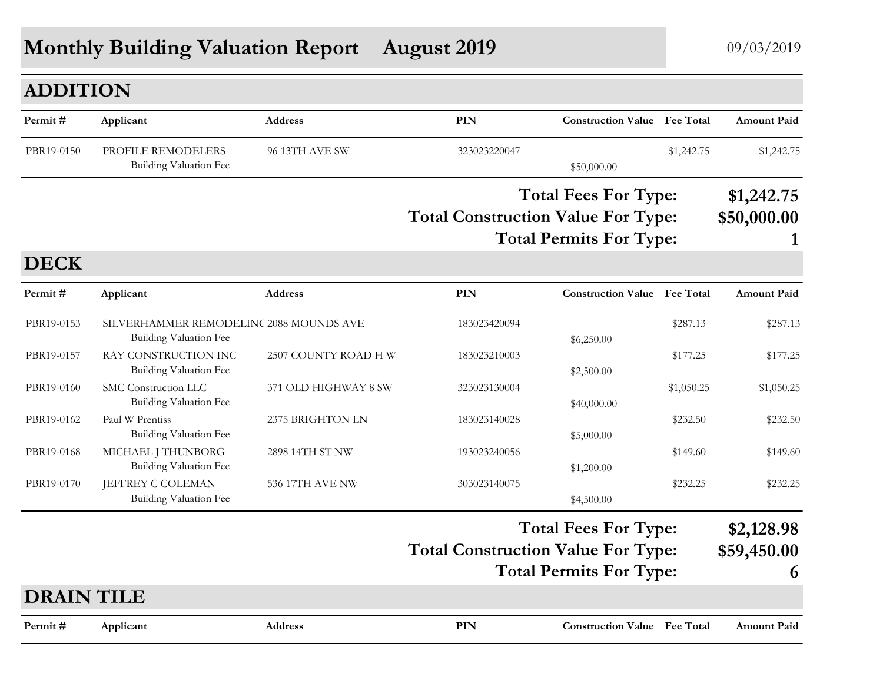# **Monthly Building Valuation Report August 2019** 09/03/2019

## **ADDITION**

| Permit#    | Applicant                                    | <b>Address</b> | PIN                                                                      | <b>Construction Value</b> Fee Total |            | <b>Amount Paid</b>        |
|------------|----------------------------------------------|----------------|--------------------------------------------------------------------------|-------------------------------------|------------|---------------------------|
| PBR19-0150 | PROFILE REMODELERS<br>Building Valuation Fee | 96 13TH AVE SW | 323023220047                                                             | \$50,000.00                         | \$1,242.75 | \$1,242.75                |
|            |                                              |                | <b>Total Fees For Type:</b><br><b>Total Construction Value For Type:</b> |                                     |            | \$1,242.75<br>\$50,000.00 |
|            |                                              |                |                                                                          | <b>Total Permits For Type:</b>      |            |                           |

#### **DECK**

| Permit#           | Applicant                                                         | <b>Address</b>       | PIN                                       | <b>Construction Value Fee Total</b> |            | <b>Amount Paid</b>        |
|-------------------|-------------------------------------------------------------------|----------------------|-------------------------------------------|-------------------------------------|------------|---------------------------|
| PBR19-0153        | SILVERHAMMER REMODELINC 2088 MOUNDS AVE<br>Building Valuation Fee |                      | 183023420094                              | \$6,250.00                          | \$287.13   | \$287.13                  |
| PBR19-0157        | RAY CONSTRUCTION INC<br>Building Valuation Fee                    | 2507 COUNTY ROAD H W | 183023210003                              | \$2,500.00                          | \$177.25   | \$177.25                  |
| PBR19-0160        | SMC Construction LLC<br>Building Valuation Fee                    | 371 OLD HIGHWAY 8 SW | 323023130004                              | \$40,000.00                         | \$1,050.25 | \$1,050.25                |
| PBR19-0162        | Paul W Prentiss<br>Building Valuation Fee                         | 2375 BRIGHTON LN     | 183023140028                              | \$5,000.00                          | \$232.50   | \$232.50                  |
| PBR19-0168        | MICHAEL J THUNBORG<br>Building Valuation Fee                      | 2898 14TH ST NW      | 193023240056                              | \$1,200.00                          | \$149.60   | \$149.60                  |
| PBR19-0170        | JEFFREY C COLEMAN<br><b>Building Valuation Fee</b>                | 536 17TH AVE NW      | 303023140075                              | \$4,500.00                          | \$232.25   | \$232.25                  |
|                   |                                                                   |                      | <b>Total Construction Value For Type:</b> | <b>Total Fees For Type:</b>         |            | \$2,128.98<br>\$59,450.00 |
|                   |                                                                   |                      |                                           | <b>Total Permits For Type:</b>      |            | 6                         |
| <b>DRAIN TILE</b> |                                                                   |                      |                                           |                                     |            |                           |
| Permit#           | Applicant                                                         | <b>Address</b>       | PIN                                       | <b>Construction Value Fee Total</b> |            | <b>Amount Paid</b>        |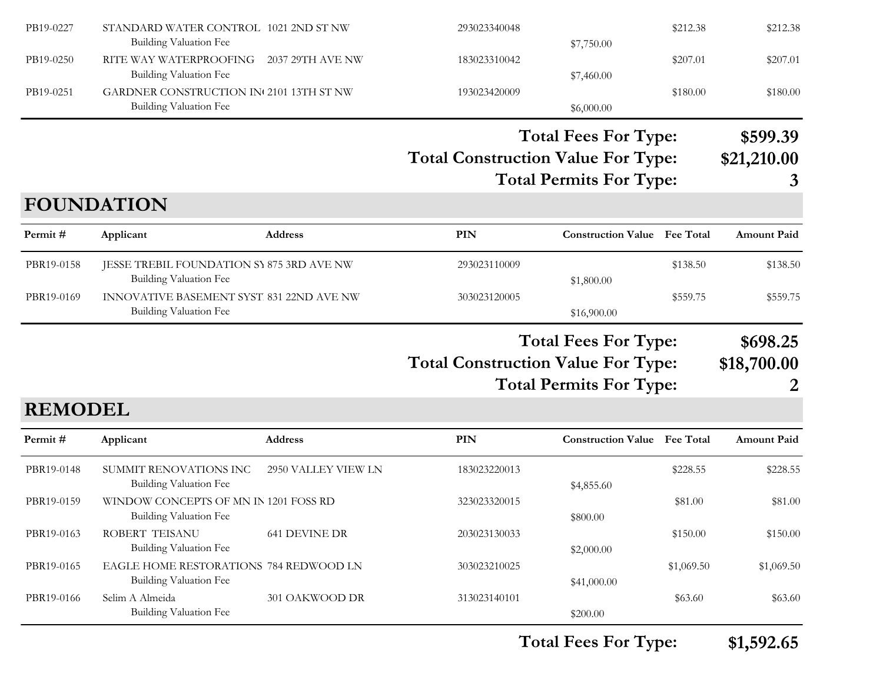| PB19-0227      | STANDARD WATER CONTROL 1021 2ND ST NW<br><b>Building Valuation Fee</b>    |                      | 293023340048                              | \$7,750.00                          | \$212.38         | \$212.38           |
|----------------|---------------------------------------------------------------------------|----------------------|-------------------------------------------|-------------------------------------|------------------|--------------------|
| PB19-0250      | RITE WAY WATERPROOFING<br>Building Valuation Fee                          | 2037 29TH AVE NW     | 183023310042                              | \$7,460.00                          | \$207.01         | \$207.01           |
| PB19-0251      | GARDNER CONSTRUCTION IN 2101 13TH ST NW<br><b>Building Valuation Fee</b>  |                      | 193023420009                              | \$6,000.00                          | \$180.00         | \$180.00           |
|                |                                                                           |                      |                                           | <b>Total Fees For Type:</b>         |                  | \$599.39           |
|                |                                                                           |                      | <b>Total Construction Value For Type:</b> |                                     |                  | \$21,210.00        |
|                |                                                                           |                      |                                           | <b>Total Permits For Type:</b>      |                  | 3                  |
|                | <b>FOUNDATION</b>                                                         |                      |                                           |                                     |                  |                    |
| Permit#        | Applicant                                                                 | <b>Address</b>       | PIN                                       | <b>Construction Value Fee Total</b> |                  | <b>Amount Paid</b> |
| PBR19-0158     | JESSE TREBIL FOUNDATION SY 875 3RD AVE NW                                 |                      | 293023110009                              |                                     | \$138.50         | \$138.50           |
| PBR19-0169     | <b>Building Valuation Fee</b><br>INNOVATIVE BASEMENT SYST 831 22ND AVE NW |                      | 303023120005                              | \$1,800.00                          | \$559.75         | \$559.75           |
|                | Building Valuation Fee                                                    |                      |                                           | \$16,900.00                         |                  |                    |
|                |                                                                           |                      |                                           |                                     |                  |                    |
|                |                                                                           |                      |                                           | <b>Total Fees For Type:</b>         |                  | \$698.25           |
|                |                                                                           |                      | <b>Total Construction Value For Type:</b> |                                     |                  | \$18,700.00        |
|                |                                                                           |                      |                                           | <b>Total Permits For Type:</b>      |                  | 2                  |
| <b>REMODEL</b> |                                                                           |                      |                                           |                                     |                  |                    |
| Permit#        | Applicant                                                                 | Address              | PIN                                       | <b>Construction Value</b>           | <b>Fee Total</b> | <b>Amount Paid</b> |
| PBR19-0148     | SUMMIT RENOVATIONS INC                                                    | 2950 VALLEY VIEW LN  | 183023220013                              |                                     | \$228.55         | \$228.55           |
| PBR19-0159     | <b>Building Valuation Fee</b><br>WINDOW CONCEPTS OF MN IN 1201 FOSS RD    |                      | 323023320015                              | \$4,855.60                          | \$81.00          | \$81.00            |
|                | <b>Building Valuation Fee</b>                                             |                      |                                           | \$800.00                            |                  |                    |
| PBR19-0163     | ROBERT TEISANU                                                            | <b>641 DEVINE DR</b> | 203023130033                              |                                     | \$150.00         | \$150.00           |
|                | <b>Building Valuation Fee</b>                                             |                      |                                           | \$2,000.00                          |                  |                    |
| PBR19-0165     | EAGLE HOME RESTORATIONS 784 REDWOOD LN<br><b>Building Valuation Fee</b>   |                      | 303023210025                              | \$41,000.00                         | \$1,069.50       | \$1,069.50         |
| PBR19-0166     | Selim A Almeida<br>Building Valuation Fee                                 | 301 OAKWOOD DR       | 313023140101                              | \$200.00                            | \$63.60          | \$63.60            |

**Total Fees For Type: \$1,592.65**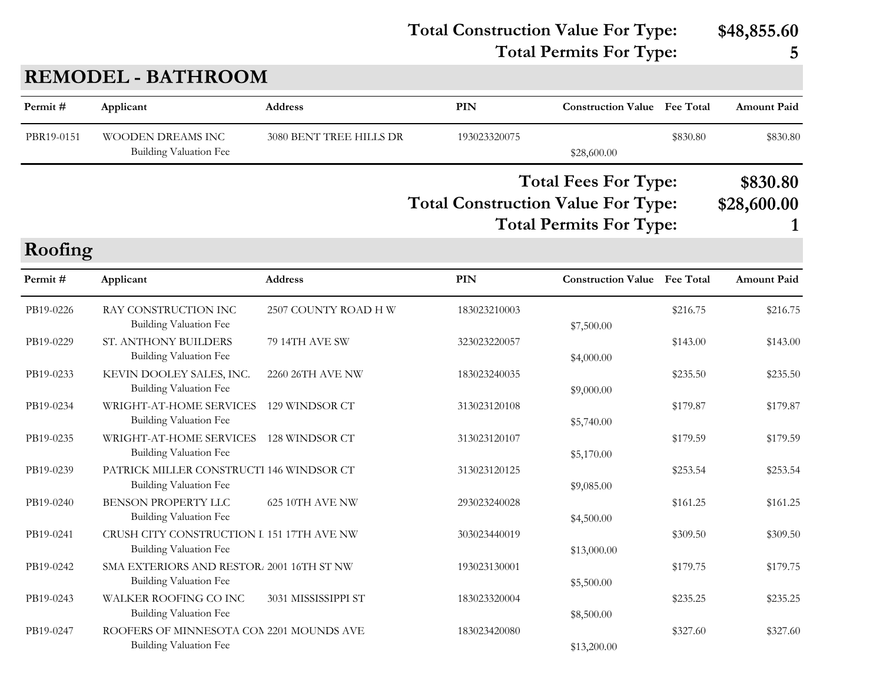**Total Construction Value For Type: \$48,855.60**

### **Total Permits For Type: 5**

## **REMODEL - BATHROOM**

| Permit#    | Applicant                                                                  | <b>Address</b>          | <b>PIN</b>                                | <b>Construction Value</b> Fee Total                           |          | <b>Amount Paid</b>      |
|------------|----------------------------------------------------------------------------|-------------------------|-------------------------------------------|---------------------------------------------------------------|----------|-------------------------|
| PBR19-0151 | WOODEN DREAMS INC<br><b>Building Valuation Fee</b>                         | 3080 BENT TREE HILLS DR | 193023320075                              | \$28,600.00                                                   | \$830.80 | \$830.80                |
|            |                                                                            |                         | <b>Total Construction Value For Type:</b> | <b>Total Fees For Type:</b><br><b>Total Permits For Type:</b> |          | \$830.80<br>\$28,600.00 |
| Roofing    |                                                                            |                         |                                           |                                                               |          |                         |
| Permit#    | Applicant                                                                  | <b>Address</b>          | <b>PIN</b>                                | <b>Construction Value</b> Fee Total                           |          | <b>Amount Paid</b>      |
| PB19-0226  | RAY CONSTRUCTION INC<br><b>Building Valuation Fee</b>                      | 2507 COUNTY ROAD H W    | 183023210003                              | \$7,500.00                                                    | \$216.75 | \$216.75                |
| PB19-0229  | ST. ANTHONY BUILDERS<br><b>Building Valuation Fee</b>                      | 79 14TH AVE SW          | 323023220057                              | \$4,000.00                                                    | \$143.00 | \$143.00                |
| PB19-0233  | KEVIN DOOLEY SALES, INC.<br>Building Valuation Fee                         | 2260 26TH AVE NW        | 183023240035                              | \$9,000.00                                                    | \$235.50 | \$235.50                |
| PB19-0234  | WRIGHT-AT-HOME SERVICES<br><b>Building Valuation Fee</b>                   | 129 WINDSOR CT          | 313023120108                              | \$5,740.00                                                    | \$179.87 | \$179.87                |
| PB19-0235  | WRIGHT-AT-HOME SERVICES<br><b>Building Valuation Fee</b>                   | 128 WINDSOR CT          | 313023120107                              | \$5,170.00                                                    | \$179.59 | \$179.59                |
| PB19-0239  | PATRICK MILLER CONSTRUCTI 146 WINDSOR CT<br><b>Building Valuation Fee</b>  |                         | 313023120125                              | \$9,085.00                                                    | \$253.54 | \$253.54                |
| PB19-0240  | BENSON PROPERTY LLC<br><b>Building Valuation Fee</b>                       | 625 10TH AVE NW         | 293023240028                              | \$4,500.00                                                    | \$161.25 | \$161.25                |
| PB19-0241  | CRUSH CITY CONSTRUCTION I 151 17TH AVE NW<br><b>Building Valuation Fee</b> |                         | 303023440019                              | \$13,000.00                                                   | \$309.50 | \$309.50                |
| PB19-0242  | SMA EXTERIORS AND RESTOR. 2001 16TH ST NW<br><b>Building Valuation Fee</b> |                         | 193023130001                              | \$5,500.00                                                    | \$179.75 | \$179.75                |
| PB19-0243  | WALKER ROOFING CO INC<br>Building Valuation Fee                            | 3031 MISSISSIPPI ST     | 183023320004                              | \$8,500.00                                                    | \$235.25 | \$235.25                |
| PB19-0247  | ROOFERS OF MINNESOTA CON 2201 MOUNDS AVE<br><b>Building Valuation Fee</b>  |                         | 183023420080                              | \$13,200.00                                                   | \$327.60 | \$327.60                |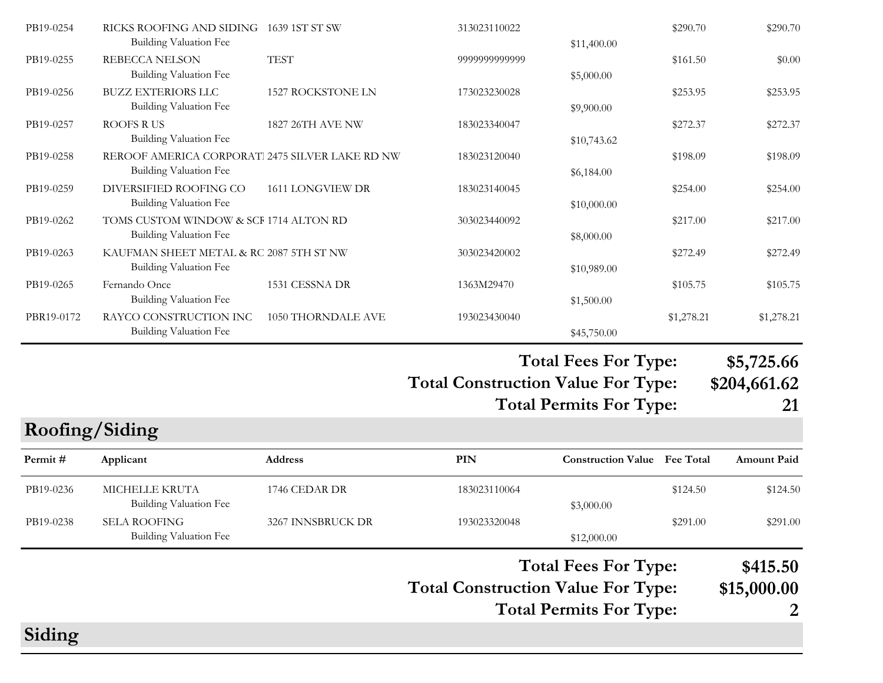|                |                                                                                  |                          |                                           | <b>Total Fees For Type:</b>                                   |            | \$415.50                         |
|----------------|----------------------------------------------------------------------------------|--------------------------|-------------------------------------------|---------------------------------------------------------------|------------|----------------------------------|
| PB19-0238      | <b>SELA ROOFING</b><br>Building Valuation Fee                                    | 3267 INNSBRUCK DR        | 193023320048                              | \$12,000.00                                                   | \$291.00   | \$291.00                         |
| PB19-0236      | MICHELLE KRUTA<br>Building Valuation Fee                                         | 1746 CEDAR DR            | 183023110064                              | \$3,000.00                                                    | \$124.50   | \$124.50                         |
| Permit#        | Applicant                                                                        | <b>Address</b>           | PIN                                       | <b>Construction Value</b> Fee Total                           |            | <b>Amount Paid</b>               |
| Roofing/Siding |                                                                                  |                          |                                           |                                                               |            |                                  |
|                |                                                                                  |                          | <b>Total Construction Value For Type:</b> | <b>Total Fees For Type:</b><br><b>Total Permits For Type:</b> |            | \$5,725.66<br>\$204,661.62<br>21 |
|                |                                                                                  |                          |                                           |                                                               |            |                                  |
| PBR19-0172     | RAYCO CONSTRUCTION INC<br>Building Valuation Fee                                 | 1050 THORNDALE AVE       | 193023430040                              | \$45,750.00                                                   | \$1,278.21 | \$1,278.21                       |
| PB19-0265      | Fernando Once<br>Building Valuation Fee                                          | 1531 CESSNA DR           | 1363M29470                                | \$1,500.00                                                    | \$105.75   | \$105.75                         |
| PB19-0263      | KAUFMAN SHEET METAL & RC 2087 5TH ST NW<br><b>Building Valuation Fee</b>         |                          | 303023420002                              | \$10,989.00                                                   | \$272.49   | \$272.49                         |
| PB19-0262      | TOMS CUSTOM WINDOW & SCF 1714 ALTON RD<br><b>Building Valuation Fee</b>          |                          | 303023440092                              | \$8,000.00                                                    | \$217.00   | \$217.00                         |
| PB19-0259      | DIVERSIFIED ROOFING CO<br><b>Building Valuation Fee</b>                          | 1611 LONGVIEW DR         | 183023140045                              | \$10,000.00                                                   | \$254.00   | \$254.00                         |
| PB19-0258      | REROOF AMERICA CORPORAT. 2475 SILVER LAKE RD NW<br><b>Building Valuation Fee</b> |                          | 183023120040                              | \$6,184.00                                                    | \$198.09   | \$198.09                         |
| PB19-0257      | ROOFS RUS<br>Building Valuation Fee                                              | 1827 26TH AVE NW         | 183023340047                              | \$10,743.62                                                   | \$272.37   | \$272.37                         |
| PB19-0256      | <b>BUZZ EXTERIORS LLC</b><br><b>Building Valuation Fee</b>                       | <b>1527 ROCKSTONE LN</b> | 173023230028                              | \$9,900.00                                                    | \$253.95   | \$253.95                         |
| PB19-0255      | <b>REBECCA NELSON</b><br>Building Valuation Fee                                  | <b>TEST</b>              | 9999999999999                             | \$5,000.00                                                    | \$161.50   | \$0.00                           |
| PB19-0254      | RICKS ROOFING AND SIDING 1639 1ST ST SW<br>Building Valuation Fee                |                          | 313023110022                              | \$11,400.00                                                   | \$290.70   | \$290.70                         |

## **Total Construction Value For Type: \$15,000.00**

**Total Permits For Type: 2**

# **Siding**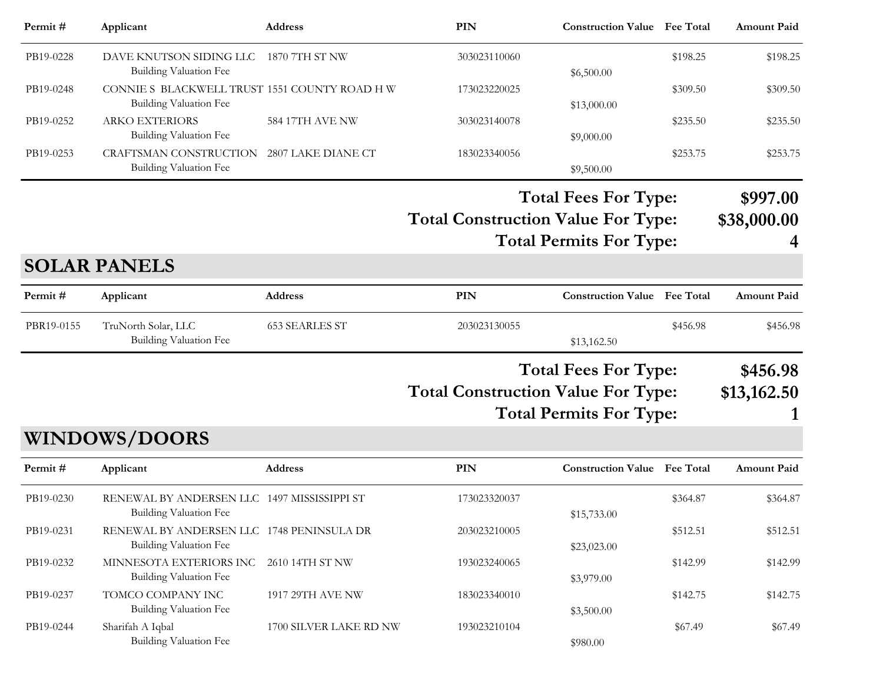| Permit #  | Applicant                                                               | <b>Address</b>     | PIN          | <b>Construction Value</b> Fee Total |          | <b>Amount Paid</b> |
|-----------|-------------------------------------------------------------------------|--------------------|--------------|-------------------------------------|----------|--------------------|
| PB19-0228 | DAVE KNUTSON SIDING LLC 1870 7TH ST NW<br>Building Valuation Fee        |                    | 303023110060 | \$6,500.00                          | \$198.25 | \$198.25           |
| PB19-0248 | CONNIE S BLACKWELL TRUST 1551 COUNTY ROAD H W<br>Building Valuation Fee |                    | 173023220025 | \$13,000.00                         | \$309.50 | \$309.50           |
| PB19-0252 | <b>ARKO EXTERIORS</b><br>Building Valuation Fee                         | 584 17TH AVE NW    | 303023140078 | \$9,000.00                          | \$235.50 | \$235.50           |
| PB19-0253 | CRAFTSMAN CONSTRUCTION<br>Building Valuation Fee                        | 2807 LAKE DIANE CT | 183023340056 | \$9,500.00                          | \$253.75 | \$253.75           |

**Total Construction Value For Type: \$38,000.00 Total Fees For Type: \$997.00 Total Permits For Type: 4**

#### **SOLAR PANELS**

| Permit #   | Applicant                                     | Address        | PIN          | <b>Construction Value</b> Fee Total |          | <b>Amount Paid</b> |
|------------|-----------------------------------------------|----------------|--------------|-------------------------------------|----------|--------------------|
| PBR19-0155 | TruNorth Solar, LLC<br>Building Valuation Fee | 653 SEARLES ST | 203023130055 | \$13,162.50                         | \$456.98 | \$456.98           |
|            |                                               |                |              |                                     |          |                    |

**Total Fees For Type: \$456.98**

- **Total Construction Value For Type: \$13,162.50**
	- **Total Permits For Type: 1**

#### **WINDOWS/DOORS**

| Permit#   | Applicant                                                             | <b>Address</b>         | PIN          | <b>Construction Value</b> Fee Total |          | <b>Amount Paid</b> |
|-----------|-----------------------------------------------------------------------|------------------------|--------------|-------------------------------------|----------|--------------------|
| PB19-0230 | RENEWAL BY ANDERSEN LLC 1497 MISSISSIPPI ST<br>Building Valuation Fee |                        | 173023320037 | \$15,733.00                         | \$364.87 | \$364.87           |
| PB19-0231 | RENEWAL BY ANDERSEN LLC 1748 PENINSULA DR<br>Building Valuation Fee   |                        | 203023210005 | \$23,023.00                         | \$512.51 | \$512.51           |
| PB19-0232 | MINNESOTA EXTERIORS INC<br>Building Valuation Fee                     | 2610 14TH ST NW        | 193023240065 | \$3,979.00                          | \$142.99 | \$142.99           |
| PB19-0237 | TOMCO COMPANY INC<br>Building Valuation Fee                           | 1917 29TH AVE NW       | 183023340010 | \$3,500.00                          | \$142.75 | \$142.75           |
| PB19-0244 | Sharifah A Iqbal<br>Building Valuation Fee                            | 1700 SILVER LAKE RD NW | 193023210104 | \$980.00                            | \$67.49  | \$67.49            |